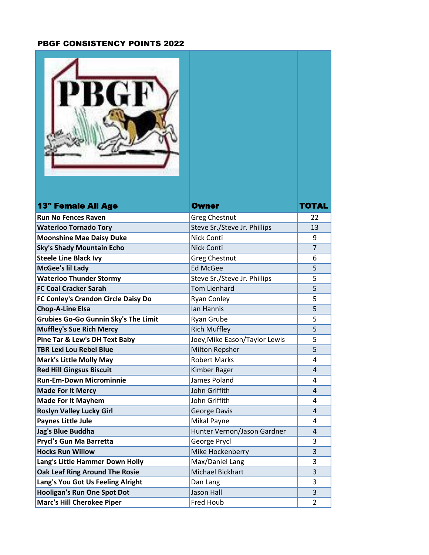## PBGF CONSISTENCY POINTS 2022

| <b>13" Female All Age</b>                          | Owner                                   | TOTAL          |
|----------------------------------------------------|-----------------------------------------|----------------|
| <b>Run No Fences Raven</b>                         | <b>Greg Chestnut</b>                    | 22             |
| <b>Waterloo Tornado Tory</b>                       | Steve Sr./Steve Jr. Phillips            | 13             |
| <b>Moonshine Mae Daisy Duke</b>                    | <b>Nick Conti</b>                       | 9              |
| <b>Sky's Shady Mountain Echo</b>                   | <b>Nick Conti</b>                       | $\overline{7}$ |
| <b>Steele Line Black Ivy</b>                       | <b>Greg Chestnut</b><br><b>Ed McGee</b> | 6<br>5         |
| McGee's lil Lady<br><b>Waterloo Thunder Stormy</b> | Steve Sr./Steve Jr. Phillips            | 5              |
| <b>FC Coal Cracker Sarah</b>                       | <b>Tom Lienhard</b>                     | 5              |
| FC Conley's Crandon Circle Daisy Do                | <b>Ryan Conley</b>                      | 5              |
| <b>Chop-A-Line Elsa</b>                            | Ian Hannis                              | 5              |
| Grubies Go-Go Gunnin Sky's The Limit               | Ryan Grube                              | 5              |
| <b>Muffley's Sue Rich Mercy</b>                    | <b>Rich Muffley</b>                     | 5              |
| Pine Tar & Lew's DH Text Baby                      | Joey, Mike Eason/Taylor Lewis           | 5              |
| <b>TBR Lexi Lou Rebel Blue</b>                     | Milton Repsher                          | 5              |
| <b>Mark's Little Molly May</b>                     | <b>Robert Marks</b>                     | 4              |
| <b>Red Hill Gingsus Biscuit</b>                    | Kimber Rager                            | 4              |
| <b>Run-Em-Down Microminnie</b>                     | James Poland                            | 4              |
| <b>Made For It Mercy</b>                           | John Griffith                           | 4              |
| <b>Made For It Mayhem</b>                          | John Griffith                           | 4              |
| <b>Roslyn Valley Lucky Girl</b>                    | George Davis                            | 4              |
| <b>Paynes Little Jule</b>                          | Mikal Payne                             | 4              |
| Jag's Blue Buddha                                  | Hunter Vernon/Jason Gardner             | 4              |
| Prycl's Gun Ma Barretta                            | George Prycl                            | 3              |
| <b>Hocks Run Willow</b>                            | Mike Hockenberry                        | 3              |
| Lang's Little Hammer Down Holly                    | Max/Daniel Lang                         | 3              |
| Oak Leaf Ring Around The Rosie                     | Michael Bickhart                        | 3              |
| Lang's You Got Us Feeling Alright                  | Dan Lang                                | 3              |
| <b>Hooligan's Run One Spot Dot</b>                 | <b>Jason Hall</b>                       | 3              |
| <b>Marc's Hill Cherokee Piper</b>                  | Fred Houb                               | 2              |